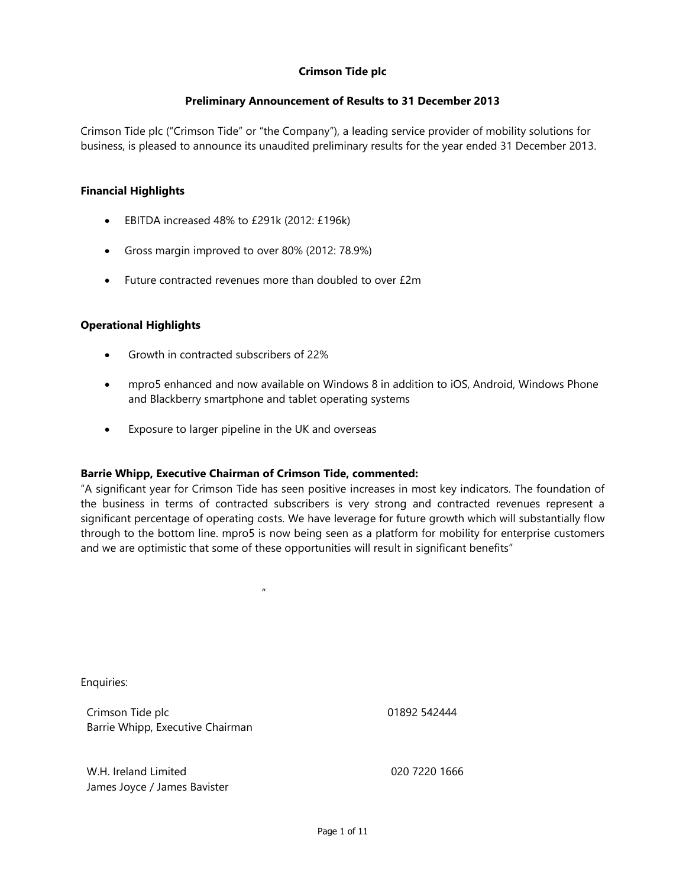### **Preliminary Announcement of Results to 31 December 2013**

Crimson Tide plc ("Crimson Tide" or "the Company"), a leading service provider of mobility solutions for business, is pleased to announce its unaudited preliminary results for the year ended 31 December 2013.

### **Financial Highlights**

- **EBITDA** increased 48% to £291k (2012: £196k)
- Gross margin improved to over 80% (2012: 78.9%)
- Future contracted revenues more than doubled to over £2m

### **Operational Highlights**

- Growth in contracted subscribers of 22%
- mpro5 enhanced and now available on Windows 8 in addition to iOS, Android, Windows Phone and Blackberry smartphone and tablet operating systems
- Exposure to larger pipeline in the UK and overseas

### **Barrie Whipp, Executive Chairman of Crimson Tide, commented:**

"A significant year for Crimson Tide has seen positive increases in most key indicators. The foundation of the business in terms of contracted subscribers is very strong and contracted revenues represent a significant percentage of operating costs. We have leverage for future growth which will substantially flow through to the bottom line. mpro5 is now being seen as a platform for mobility for enterprise customers and we are optimistic that some of these opportunities will result in significant benefits"

Enquiries:

Crimson Tide plc Barrie Whipp, Executive Chairman

n and the state of the state of the state of the state of the state of the state of the state of the state of the state of the state of the state of the state of the state of the state of the state of the state of the stat

01892 542444

W.H. Ireland Limited James Joyce / James Bavister 020 7220 1666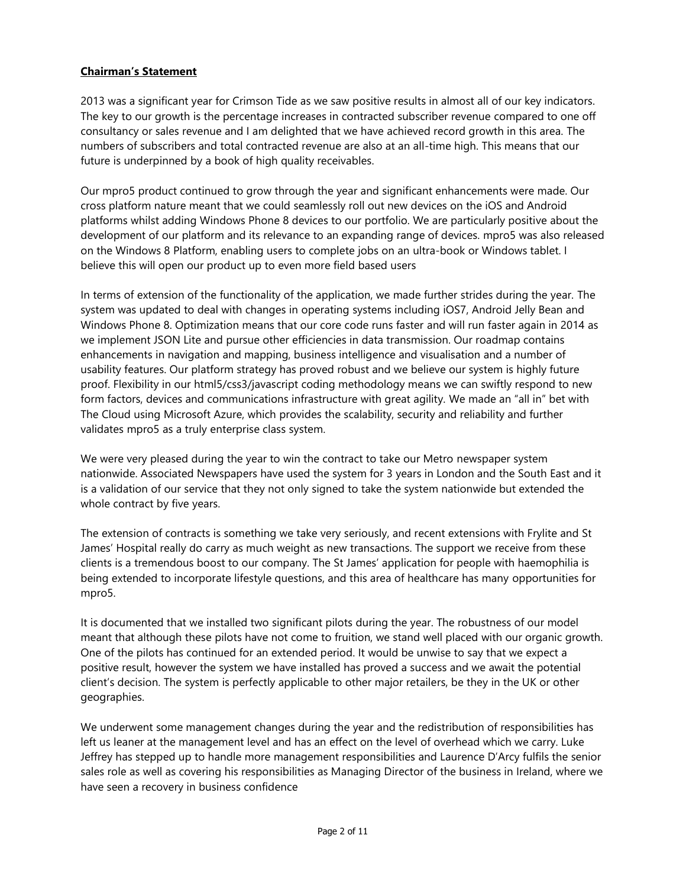### **Chairman's Statement**

2013 was a significant year for Crimson Tide as we saw positive results in almost all of our key indicators. The key to our growth is the percentage increases in contracted subscriber revenue compared to one off consultancy or sales revenue and I am delighted that we have achieved record growth in this area. The numbers of subscribers and total contracted revenue are also at an all-time high. This means that our future is underpinned by a book of high quality receivables.

Our mpro5 product continued to grow through the year and significant enhancements were made. Our cross platform nature meant that we could seamlessly roll out new devices on the iOS and Android platforms whilst adding Windows Phone 8 devices to our portfolio. We are particularly positive about the development of our platform and its relevance to an expanding range of devices. mpro5 was also released on the Windows 8 Platform, enabling users to complete jobs on an ultra-book or Windows tablet. I believe this will open our product up to even more field based users

In terms of extension of the functionality of the application, we made further strides during the year. The system was updated to deal with changes in operating systems including iOS7, Android Jelly Bean and Windows Phone 8. Optimization means that our core code runs faster and will run faster again in 2014 as we implement JSON Lite and pursue other efficiencies in data transmission. Our roadmap contains enhancements in navigation and mapping, business intelligence and visualisation and a number of usability features. Our platform strategy has proved robust and we believe our system is highly future proof. Flexibility in our html5/css3/javascript coding methodology means we can swiftly respond to new form factors, devices and communications infrastructure with great agility. We made an "all in" bet with The Cloud using Microsoft Azure, which provides the scalability, security and reliability and further validates mpro5 as a truly enterprise class system.

We were very pleased during the year to win the contract to take our Metro newspaper system nationwide. Associated Newspapers have used the system for 3 years in London and the South East and it is a validation of our service that they not only signed to take the system nationwide but extended the whole contract by five years.

The extension of contracts is something we take very seriously, and recent extensions with Frylite and St James' Hospital really do carry as much weight as new transactions. The support we receive from these clients is a tremendous boost to our company. The St James' application for people with haemophilia is being extended to incorporate lifestyle questions, and this area of healthcare has many opportunities for mpro5.

It is documented that we installed two significant pilots during the year. The robustness of our model meant that although these pilots have not come to fruition, we stand well placed with our organic growth. One of the pilots has continued for an extended period. It would be unwise to say that we expect a positive result, however the system we have installed has proved a success and we await the potential client's decision. The system is perfectly applicable to other major retailers, be they in the UK or other geographies.

We underwent some management changes during the year and the redistribution of responsibilities has left us leaner at the management level and has an effect on the level of overhead which we carry. Luke Jeffrey has stepped up to handle more management responsibilities and Laurence D'Arcy fulfils the senior sales role as well as covering his responsibilities as Managing Director of the business in Ireland, where we have seen a recovery in business confidence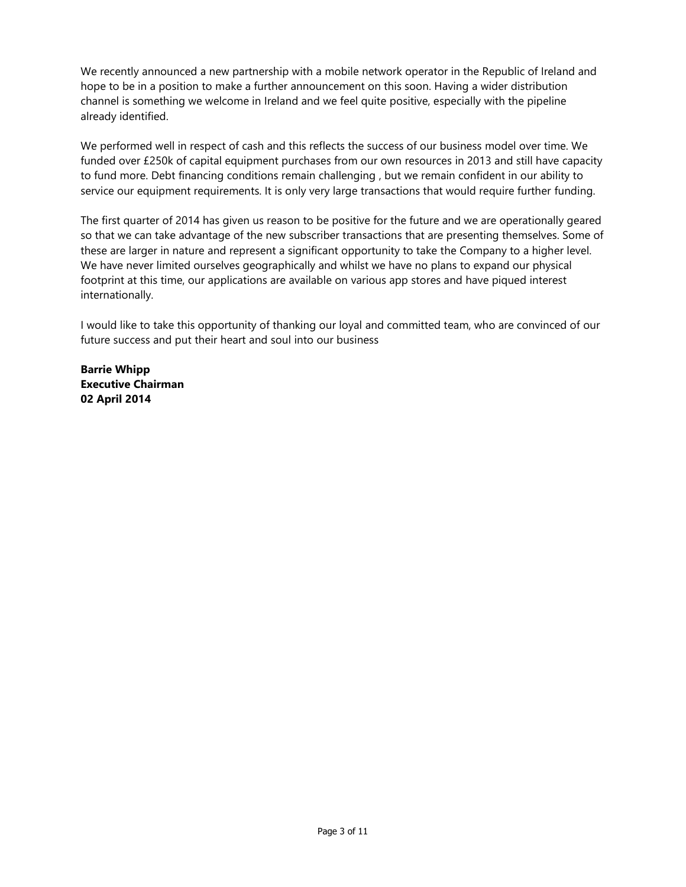We recently announced a new partnership with a mobile network operator in the Republic of Ireland and hope to be in a position to make a further announcement on this soon. Having a wider distribution channel is something we welcome in Ireland and we feel quite positive, especially with the pipeline already identified.

We performed well in respect of cash and this reflects the success of our business model over time. We funded over £250k of capital equipment purchases from our own resources in 2013 and still have capacity to fund more. Debt financing conditions remain challenging , but we remain confident in our ability to service our equipment requirements. It is only very large transactions that would require further funding.

The first quarter of 2014 has given us reason to be positive for the future and we are operationally geared so that we can take advantage of the new subscriber transactions that are presenting themselves. Some of these are larger in nature and represent a significant opportunity to take the Company to a higher level. We have never limited ourselves geographically and whilst we have no plans to expand our physical footprint at this time, our applications are available on various app stores and have piqued interest internationally.

I would like to take this opportunity of thanking our loyal and committed team, who are convinced of our future success and put their heart and soul into our business

**Barrie Whipp Executive Chairman 02 April 2014**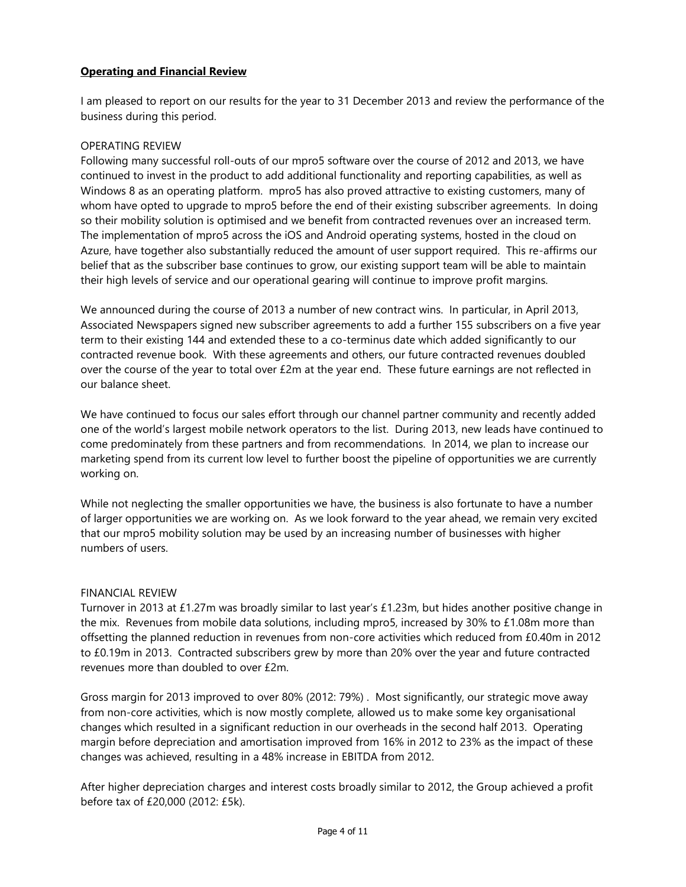### **Operating and Financial Review**

I am pleased to report on our results for the year to 31 December 2013 and review the performance of the business during this period.

#### OPERATING REVIEW

Following many successful roll-outs of our mpro5 software over the course of 2012 and 2013, we have continued to invest in the product to add additional functionality and reporting capabilities, as well as Windows 8 as an operating platform. mpro5 has also proved attractive to existing customers, many of whom have opted to upgrade to mpro5 before the end of their existing subscriber agreements. In doing so their mobility solution is optimised and we benefit from contracted revenues over an increased term. The implementation of mpro5 across the iOS and Android operating systems, hosted in the cloud on Azure, have together also substantially reduced the amount of user support required. This re-affirms our belief that as the subscriber base continues to grow, our existing support team will be able to maintain their high levels of service and our operational gearing will continue to improve profit margins.

We announced during the course of 2013 a number of new contract wins. In particular, in April 2013, Associated Newspapers signed new subscriber agreements to add a further 155 subscribers on a five year term to their existing 144 and extended these to a co-terminus date which added significantly to our contracted revenue book. With these agreements and others, our future contracted revenues doubled over the course of the year to total over £2m at the year end. These future earnings are not reflected in our balance sheet.

We have continued to focus our sales effort through our channel partner community and recently added one of the world's largest mobile network operators to the list. During 2013, new leads have continued to come predominately from these partners and from recommendations. In 2014, we plan to increase our marketing spend from its current low level to further boost the pipeline of opportunities we are currently working on.

While not neglecting the smaller opportunities we have, the business is also fortunate to have a number of larger opportunities we are working on. As we look forward to the year ahead, we remain very excited that our mpro5 mobility solution may be used by an increasing number of businesses with higher numbers of users.

### FINANCIAL REVIEW

Turnover in 2013 at £1.27m was broadly similar to last year's £1.23m, but hides another positive change in the mix. Revenues from mobile data solutions, including mpro5, increased by 30% to £1.08m more than offsetting the planned reduction in revenues from non-core activities which reduced from £0.40m in 2012 to £0.19m in 2013. Contracted subscribers grew by more than 20% over the year and future contracted revenues more than doubled to over £2m.

Gross margin for 2013 improved to over 80% (2012: 79%) . Most significantly, our strategic move away from non-core activities, which is now mostly complete, allowed us to make some key organisational changes which resulted in a significant reduction in our overheads in the second half 2013. Operating margin before depreciation and amortisation improved from 16% in 2012 to 23% as the impact of these changes was achieved, resulting in a 48% increase in EBITDA from 2012.

After higher depreciation charges and interest costs broadly similar to 2012, the Group achieved a profit before tax of £20,000 (2012: £5k).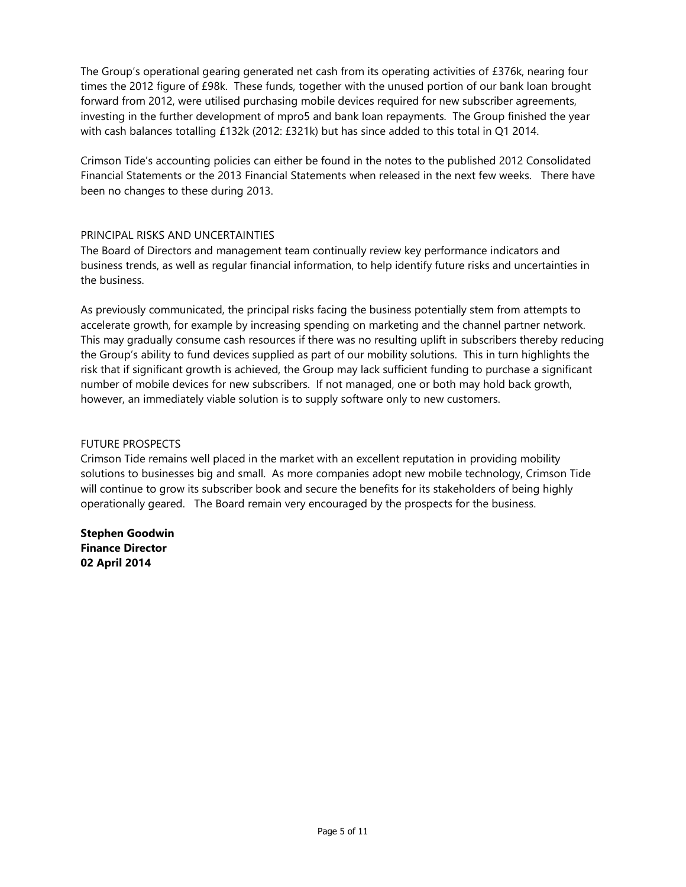The Group's operational gearing generated net cash from its operating activities of £376k, nearing four times the 2012 figure of £98k. These funds, together with the unused portion of our bank loan brought forward from 2012, were utilised purchasing mobile devices required for new subscriber agreements, investing in the further development of mpro5 and bank loan repayments. The Group finished the year with cash balances totalling £132k (2012: £321k) but has since added to this total in Q1 2014.

Crimson Tide's accounting policies can either be found in the notes to the published 2012 Consolidated Financial Statements or the 2013 Financial Statements when released in the next few weeks. There have been no changes to these during 2013.

### PRINCIPAL RISKS AND UNCERTAINTIES

The Board of Directors and management team continually review key performance indicators and business trends, as well as regular financial information, to help identify future risks and uncertainties in the business.

As previously communicated, the principal risks facing the business potentially stem from attempts to accelerate growth, for example by increasing spending on marketing and the channel partner network. This may gradually consume cash resources if there was no resulting uplift in subscribers thereby reducing the Group's ability to fund devices supplied as part of our mobility solutions. This in turn highlights the risk that if significant growth is achieved, the Group may lack sufficient funding to purchase a significant number of mobile devices for new subscribers. If not managed, one or both may hold back growth, however, an immediately viable solution is to supply software only to new customers.

#### FUTURE PROSPECTS

Crimson Tide remains well placed in the market with an excellent reputation in providing mobility solutions to businesses big and small. As more companies adopt new mobile technology, Crimson Tide will continue to grow its subscriber book and secure the benefits for its stakeholders of being highly operationally geared. The Board remain very encouraged by the prospects for the business.

**Stephen Goodwin Finance Director 02 April 2014**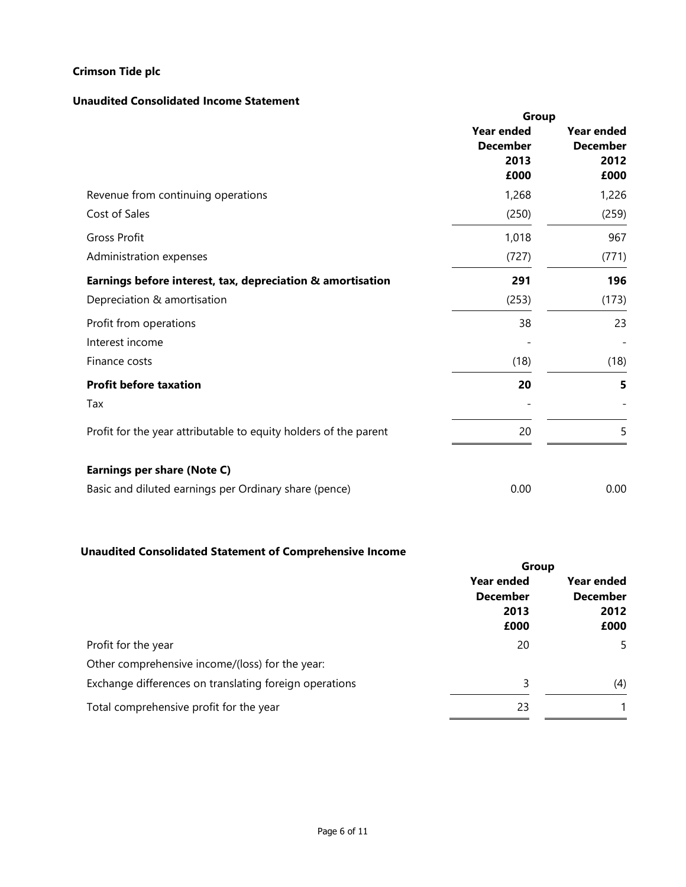### **Unaudited Consolidated Income Statement**

|                                                                  | Group             |                   |  |
|------------------------------------------------------------------|-------------------|-------------------|--|
|                                                                  | <b>Year ended</b> | <b>Year ended</b> |  |
|                                                                  | <b>December</b>   | <b>December</b>   |  |
|                                                                  | 2013              | 2012              |  |
|                                                                  | £000              | £000              |  |
| Revenue from continuing operations                               | 1,268             | 1,226             |  |
| Cost of Sales                                                    | (250)             | (259)             |  |
| <b>Gross Profit</b>                                              | 1,018             | 967               |  |
| Administration expenses                                          | (727)             | (771)             |  |
| Earnings before interest, tax, depreciation & amortisation       | 291               | 196               |  |
| Depreciation & amortisation                                      | (253)             | (173)             |  |
| Profit from operations                                           | 38                | 23                |  |
| Interest income                                                  |                   |                   |  |
| Finance costs                                                    | (18)              | (18)              |  |
| <b>Profit before taxation</b>                                    | 20                | 5                 |  |
| Tax                                                              |                   |                   |  |
| Profit for the year attributable to equity holders of the parent | 20                | 5                 |  |
|                                                                  |                   |                   |  |
| Earnings per share (Note C)                                      |                   |                   |  |
| Basic and diluted earnings per Ordinary share (pence)            | 0.00              | 0.00              |  |
|                                                                  |                   |                   |  |

# **Unaudited Consolidated Statement of Comprehensive Income**

| Year ended              |      |
|-------------------------|------|
| <b>December</b><br>2012 |      |
|                         | £000 |
| 5                       |      |
|                         |      |
| (4)                     |      |
|                         |      |
|                         |      |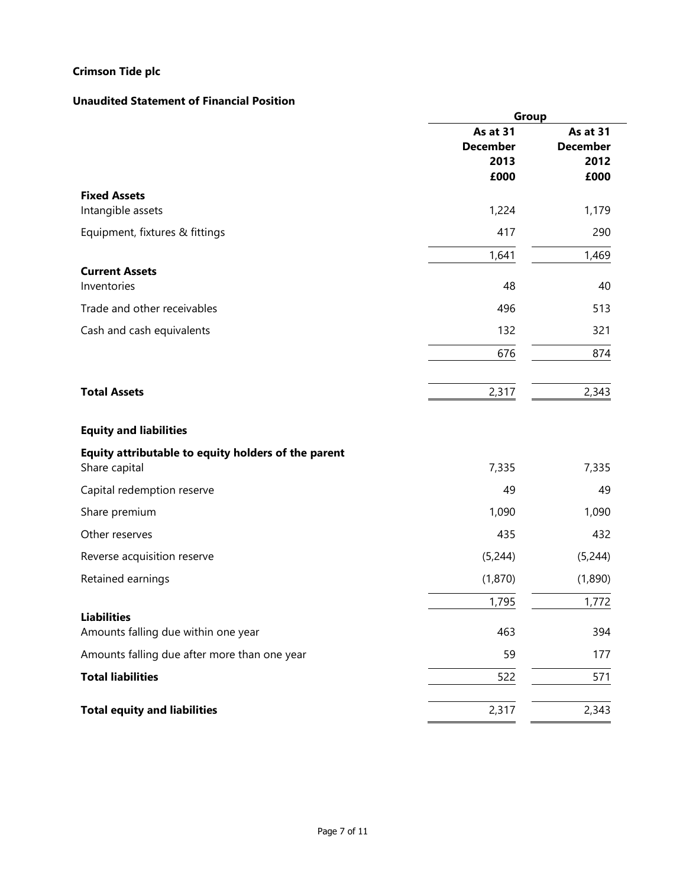### **Unaudited Statement of Financial Position**

|                                                                      | Group                                       |                                             |  |
|----------------------------------------------------------------------|---------------------------------------------|---------------------------------------------|--|
|                                                                      | As at 31<br><b>December</b><br>2013<br>£000 | As at 31<br><b>December</b><br>2012<br>£000 |  |
| <b>Fixed Assets</b><br>Intangible assets                             | 1,224                                       | 1,179                                       |  |
| Equipment, fixtures & fittings                                       | 417                                         | 290                                         |  |
|                                                                      | 1,641                                       | 1,469                                       |  |
| <b>Current Assets</b><br>Inventories                                 | 48                                          | 40                                          |  |
| Trade and other receivables                                          | 496                                         | 513                                         |  |
| Cash and cash equivalents                                            | 132                                         | 321                                         |  |
|                                                                      | 676                                         | 874                                         |  |
| <b>Total Assets</b>                                                  | 2,317                                       | 2,343                                       |  |
| <b>Equity and liabilities</b>                                        |                                             |                                             |  |
| Equity attributable to equity holders of the parent<br>Share capital | 7,335                                       | 7,335                                       |  |
| Capital redemption reserve                                           | 49                                          | 49                                          |  |
| Share premium                                                        | 1,090                                       | 1,090                                       |  |
| Other reserves                                                       | 435                                         | 432                                         |  |
| Reverse acquisition reserve                                          | (5,244)                                     | (5,244)                                     |  |
| Retained earnings                                                    | (1,870)                                     | (1,890)                                     |  |
|                                                                      | 1,795                                       | 1,772                                       |  |
| <b>Liabilities</b><br>Amounts falling due within one year            | 463                                         | 394                                         |  |
| Amounts falling due after more than one year                         | 59                                          | 177                                         |  |
| <b>Total liabilities</b>                                             | 522                                         | 571                                         |  |
| <b>Total equity and liabilities</b>                                  | 2,317                                       | 2,343                                       |  |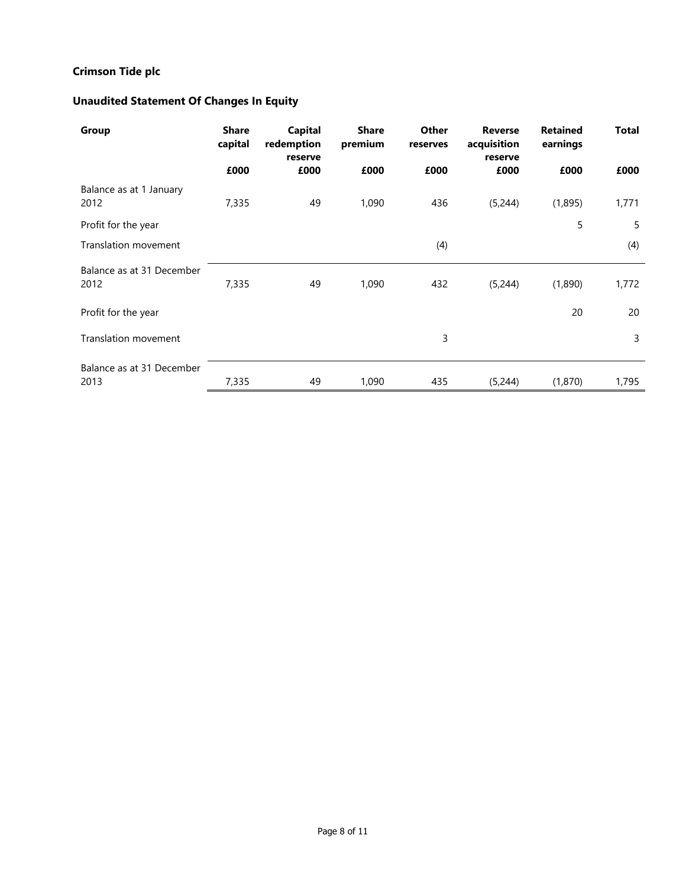# **Unaudited Statement Of Changes In Equity**

| Group                             | <b>Share</b><br>capital | Capital<br>redemption<br>reserve | <b>Share</b><br>premium | Other<br>reserves | <b>Reverse</b><br>acquisition<br>reserve | <b>Retained</b><br>earnings | <b>Total</b> |
|-----------------------------------|-------------------------|----------------------------------|-------------------------|-------------------|------------------------------------------|-----------------------------|--------------|
|                                   | £000                    | £000                             | £000                    | £000              | £000                                     | £000                        | £000         |
| Balance as at 1 January<br>2012   | 7,335                   | 49                               | 1,090                   | 436               | (5,244)                                  | (1,895)                     | 1,771        |
| Profit for the year               |                         |                                  |                         |                   |                                          | 5                           | 5            |
| <b>Translation movement</b>       |                         |                                  |                         | (4)               |                                          |                             | (4)          |
| Balance as at 31 December<br>2012 | 7,335                   | 49                               | 1,090                   | 432               | (5,244)                                  | (1,890)                     | 1,772        |
| Profit for the year               |                         |                                  |                         |                   |                                          | 20                          | 20           |
| Translation movement              |                         |                                  |                         | 3                 |                                          |                             | 3            |
| Balance as at 31 December<br>2013 | 7,335                   | 49                               | 1,090                   | 435               | (5,244)                                  | (1,870)                     | 1,795        |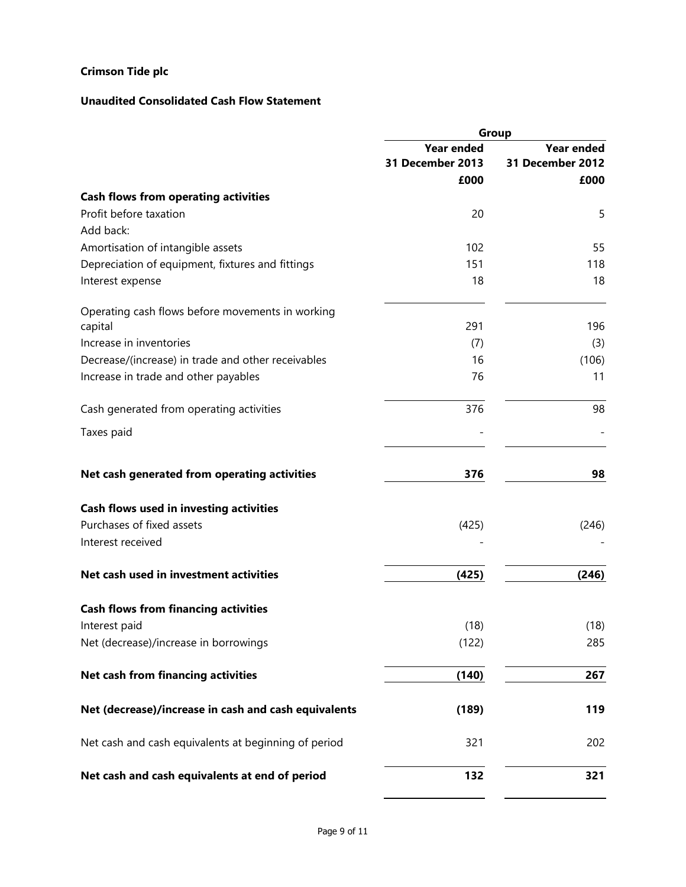# **Unaudited Consolidated Cash Flow Statement**

|                                                      | Group             |                   |  |
|------------------------------------------------------|-------------------|-------------------|--|
|                                                      | <b>Year ended</b> | <b>Year ended</b> |  |
|                                                      | 31 December 2013  | 31 December 2012  |  |
|                                                      | £000              | £000              |  |
| <b>Cash flows from operating activities</b>          |                   |                   |  |
| Profit before taxation                               | 20                | 5                 |  |
| Add back:                                            |                   |                   |  |
| Amortisation of intangible assets                    | 102               | 55                |  |
| Depreciation of equipment, fixtures and fittings     | 151               | 118               |  |
| Interest expense                                     | 18                | 18                |  |
| Operating cash flows before movements in working     |                   |                   |  |
| capital                                              | 291               | 196               |  |
| Increase in inventories                              | (7)               | (3)               |  |
| Decrease/(increase) in trade and other receivables   | 16                | (106)             |  |
| Increase in trade and other payables                 | 76                | 11                |  |
| Cash generated from operating activities             | 376               | 98                |  |
| Taxes paid                                           |                   |                   |  |
| Net cash generated from operating activities         | 376               | 98                |  |
| Cash flows used in investing activities              |                   |                   |  |
| Purchases of fixed assets                            | (425)             | (246)             |  |
| Interest received                                    |                   |                   |  |
| Net cash used in investment activities               | (425)             | (246)             |  |
| <b>Cash flows from financing activities</b>          |                   |                   |  |
| Interest paid                                        | (18)              | (18)              |  |
| Net (decrease)/increase in borrowings                | (122)             | 285               |  |
| Net cash from financing activities                   | (140)             | 267               |  |
| Net (decrease)/increase in cash and cash equivalents | (189)             | 119               |  |
| Net cash and cash equivalents at beginning of period | 321               | 202               |  |
| Net cash and cash equivalents at end of period       | 132               | 321               |  |

L.

L,  $\blacksquare$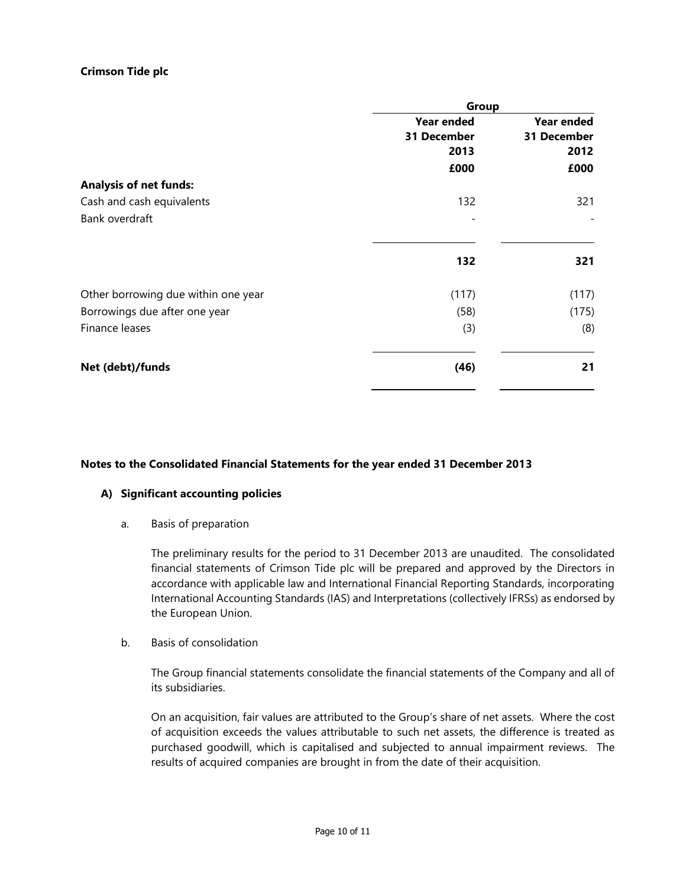|                                     | Group             |                   |  |
|-------------------------------------|-------------------|-------------------|--|
|                                     | <b>Year ended</b> | <b>Year ended</b> |  |
|                                     | 31 December       | 31 December       |  |
|                                     | 2013              | 2012              |  |
|                                     | £000              | £000              |  |
| <b>Analysis of net funds:</b>       |                   |                   |  |
| Cash and cash equivalents           | 132               | 321               |  |
| Bank overdraft                      |                   |                   |  |
|                                     | 132               | 321               |  |
| Other borrowing due within one year | (117)             | (117)             |  |
| Borrowings due after one year       | (58)              | (175)             |  |
| Finance leases                      | (3)               | (8)               |  |
| Net (debt)/funds                    | (46)              | 21                |  |

### **Notes to the Consolidated Financial Statements for the year ended 31 December 2013**

### **A) Significant accounting policies**

a. Basis of preparation

The preliminary results for the period to 31 December 2013 are unaudited. The consolidated financial statements of Crimson Tide plc will be prepared and approved by the Directors in accordance with applicable law and International Financial Reporting Standards, incorporating International Accounting Standards (IAS) and Interpretations (collectively IFRSs) as endorsed by the European Union.

b. Basis of consolidation

The Group financial statements consolidate the financial statements of the Company and all of its subsidiaries.

On an acquisition, fair values are attributed to the Group's share of net assets. Where the cost of acquisition exceeds the values attributable to such net assets, the difference is treated as purchased goodwill, which is capitalised and subjected to annual impairment reviews. The results of acquired companies are brought in from the date of their acquisition.